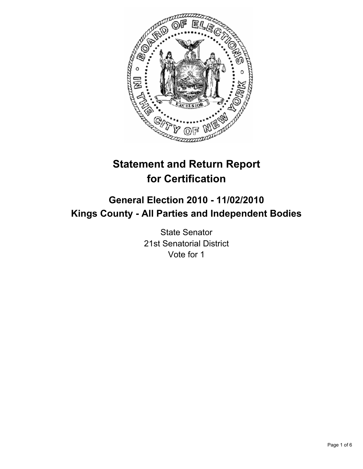

# **Statement and Return Report for Certification**

## **General Election 2010 - 11/02/2010 Kings County - All Parties and Independent Bodies**

State Senator 21st Senatorial District Vote for 1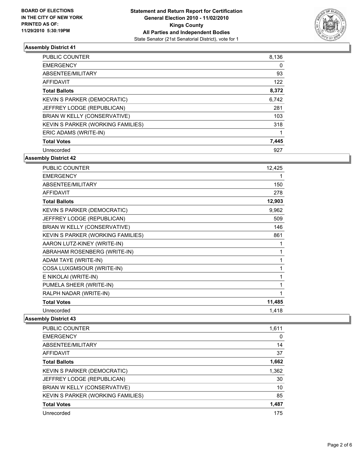

| <b>PUBLIC COUNTER</b>              | 8,136 |
|------------------------------------|-------|
| <b>EMERGENCY</b>                   | 0     |
| ABSENTEE/MILITARY                  | 93    |
| AFFIDAVIT                          | 122   |
| <b>Total Ballots</b>               | 8,372 |
| <b>KEVIN S PARKER (DEMOCRATIC)</b> | 6,742 |
| JEFFREY LODGE (REPUBLICAN)         | 281   |
| BRIAN W KELLY (CONSERVATIVE)       | 103   |
| KEVIN S PARKER (WORKING FAMILIES)  | 318   |
| ERIC ADAMS (WRITE-IN)              |       |
| <b>Total Votes</b>                 | 7,445 |
| Unrecorded                         | 927   |

**Assembly District 42**

| PUBLIC COUNTER                     | 12,425 |
|------------------------------------|--------|
| <b>EMERGENCY</b>                   | 1      |
| ABSENTEE/MILITARY                  | 150    |
| <b>AFFIDAVIT</b>                   | 278    |
| <b>Total Ballots</b>               | 12,903 |
| <b>KEVIN S PARKER (DEMOCRATIC)</b> | 9,962  |
| JEFFREY LODGE (REPUBLICAN)         | 509    |
| BRIAN W KELLY (CONSERVATIVE)       | 146    |
| KEVIN S PARKER (WORKING FAMILIES)  | 861    |
| AARON LUTZ-KINEY (WRITE-IN)        | 1      |
| ABRAHAM ROSENBERG (WRITE-IN)       | 1      |
| ADAM TAYE (WRITE-IN)               | 1      |
| COSA LUXGMSOUR (WRITE-IN)          | 1      |
| E NIKOLAI (WRITE-IN)               | 1      |
| PUMELA SHEER (WRITE-IN)            | 1      |
| RALPH NADAR (WRITE-IN)             | 1      |
| <b>Total Votes</b>                 | 11,485 |
| Unrecorded                         | 1,418  |

| <b>PUBLIC COUNTER</b>              | 1,611 |
|------------------------------------|-------|
| <b>EMERGENCY</b>                   | 0     |
| ABSENTEE/MILITARY                  | 14    |
| AFFIDAVIT                          | 37    |
| <b>Total Ballots</b>               | 1,662 |
| <b>KEVIN S PARKER (DEMOCRATIC)</b> | 1,362 |
| JEFFREY LODGE (REPUBLICAN)         | 30    |
| BRIAN W KELLY (CONSERVATIVE)       | 10    |
| KEVIN S PARKER (WORKING FAMILIES)  | 85    |
| <b>Total Votes</b>                 | 1.487 |
| Unrecorded                         | 175   |
|                                    |       |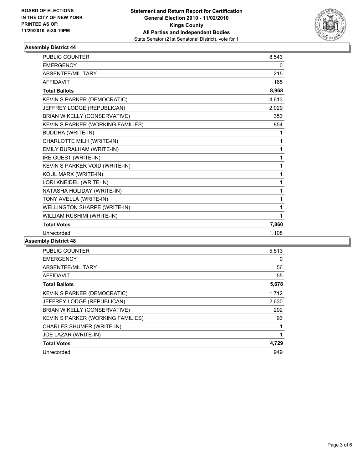

| <b>PUBLIC COUNTER</b>               | 8,543 |
|-------------------------------------|-------|
| <b>EMERGENCY</b>                    | 0     |
| ABSENTEE/MILITARY                   | 215   |
| <b>AFFIDAVIT</b>                    | 165   |
| <b>Total Ballots</b>                | 8,968 |
| KEVIN S PARKER (DEMOCRATIC)         | 4,613 |
| JEFFREY LODGE (REPUBLICAN)          | 2,029 |
| BRIAN W KELLY (CONSERVATIVE)        | 353   |
| KEVIN S PARKER (WORKING FAMILIES)   | 854   |
| <b>BUDDHA (WRITE-IN)</b>            | 1     |
| CHARLOTTE MILH (WRITE-IN)           | 1     |
| EMILY BURALHAM (WRITE-IN)           | 1     |
| IRE GUEST (WRITE-IN)                | 1     |
| KEVIN S PARKER VOID (WRITE-IN)      | 1     |
| KOUL MARX (WRITE-IN)                | 1     |
| LORI KNEIDEL (WRITE-IN)             | 1     |
| NATASHA HOLIDAY (WRITE-IN)          | 1     |
| TONY AVELLA (WRITE-IN)              | 1     |
| <b>WELLINGTON SHARPE (WRITE-IN)</b> | 1     |
| WILLIAM RUSHIMI (WRITE-IN)          | 1     |
| <b>Total Votes</b>                  | 7,860 |
| Unrecorded                          | 1,108 |

| <b>PUBLIC COUNTER</b>             | 5,513 |
|-----------------------------------|-------|
| <b>EMERGENCY</b>                  | 0     |
| ABSENTEE/MILITARY                 | 56    |
| AFFIDAVIT                         | 55    |
| <b>Total Ballots</b>              | 5,678 |
| KEVIN S PARKER (DEMOCRATIC)       | 1,712 |
| JEFFREY LODGE (REPUBLICAN)        | 2,630 |
| BRIAN W KELLY (CONSERVATIVE)      | 292   |
| KEVIN S PARKER (WORKING FAMILIES) | 93    |
| CHARLES SHUMER (WRITE-IN)         |       |
| JOE LAZAR (WRITE-IN)              | 1     |
| <b>Total Votes</b>                | 4,729 |
| Unrecorded                        | 949   |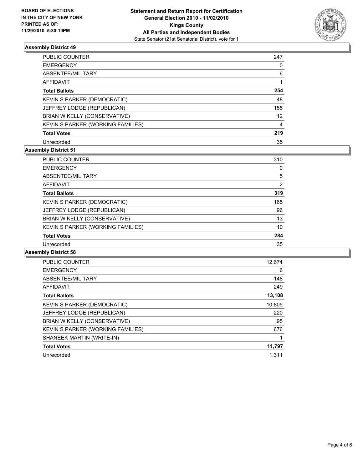

| PUBLIC COUNTER                    | 247            |
|-----------------------------------|----------------|
| <b>EMERGENCY</b>                  | 0              |
| ABSENTEE/MILITARY                 | 6              |
| <b>AFFIDAVIT</b>                  |                |
| <b>Total Ballots</b>              | 254            |
| KEVIN S PARKER (DEMOCRATIC)       | 48             |
| JEFFREY LODGE (REPUBLICAN)        | 155            |
| BRIAN W KELLY (CONSERVATIVE)      | 12             |
| KEVIN S PARKER (WORKING FAMILIES) | $\overline{4}$ |
| <b>Total Votes</b>                | 219            |
| Unrecorded                        | 35             |

## **Assembly District 51**

| <b>PUBLIC COUNTER</b>             | 310 |
|-----------------------------------|-----|
| <b>EMERGENCY</b>                  | 0   |
| ABSENTEE/MILITARY                 | 5   |
| <b>AFFIDAVIT</b>                  | 2   |
| <b>Total Ballots</b>              | 319 |
| KEVIN S PARKER (DEMOCRATIC)       | 165 |
| JEFFREY LODGE (REPUBLICAN)        | 96  |
| BRIAN W KELLY (CONSERVATIVE)      | 13  |
| KEVIN S PARKER (WORKING FAMILIES) | 10  |
| <b>Total Votes</b>                | 284 |
| Unrecorded                        | 35  |

| <b>PUBLIC COUNTER</b>             | 12,674 |
|-----------------------------------|--------|
| <b>EMERGENCY</b>                  | 6      |
| ABSENTEE/MILITARY                 | 148    |
| <b>AFFIDAVIT</b>                  | 249    |
| <b>Total Ballots</b>              | 13,108 |
| KEVIN S PARKER (DEMOCRATIC)       | 10,805 |
| JEFFREY LODGE (REPUBLICAN)        | 220    |
| BRIAN W KELLY (CONSERVATIVE)      | 95     |
| KEVIN S PARKER (WORKING FAMILIES) | 676    |
| SHANEEK MARTIN (WRITE-IN)         |        |
| <b>Total Votes</b>                | 11,797 |
| Unrecorded                        | 1.311  |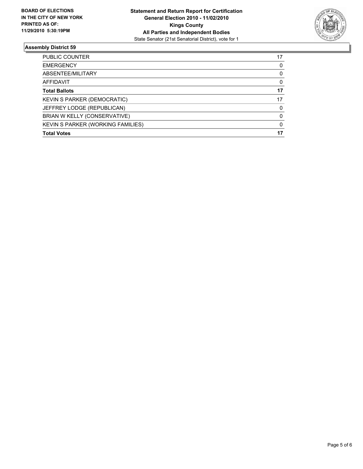

| PUBLIC COUNTER                           | 17       |
|------------------------------------------|----------|
| <b>EMERGENCY</b>                         | 0        |
| ABSENTEE/MILITARY                        | 0        |
| <b>AFFIDAVIT</b>                         | 0        |
| <b>Total Ballots</b>                     | 17       |
| <b>KEVIN S PARKER (DEMOCRATIC)</b>       | 17       |
| JEFFREY LODGE (REPUBLICAN)               | 0        |
| BRIAN W KELLY (CONSERVATIVE)             | $\Omega$ |
| <b>KEVIN S PARKER (WORKING FAMILIES)</b> | 0        |
| <b>Total Votes</b>                       | 17       |